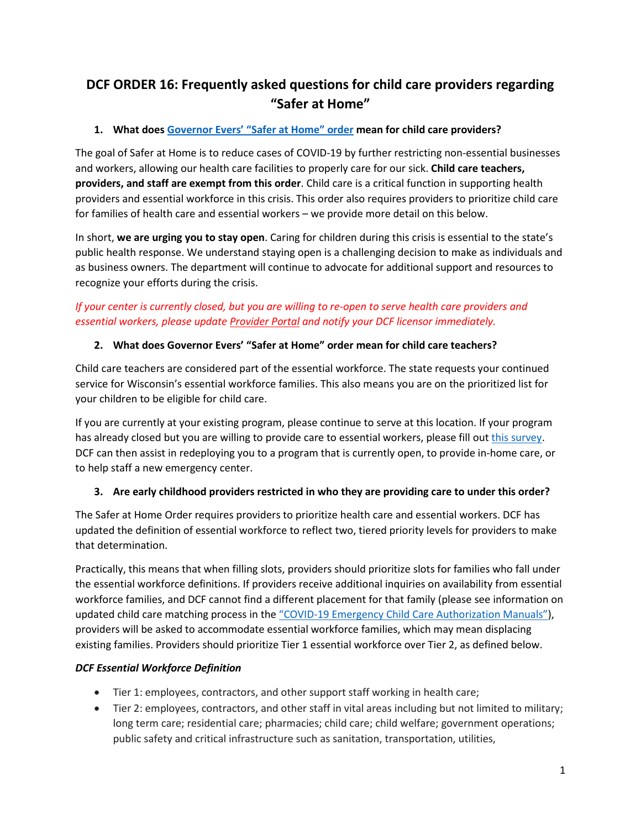# **DCF ORDER 16: Frequently asked questions for child care providers regarding "Safer at Home"**

## **1. What does [Governor Evers' "Safer at Home" order](https://content.govdelivery.com/attachments/WIGOV/2020/03/24/file_attachments/1409408/Health%20Order%20%2312%20Safer%20At%20Home.pdf) mean for child care providers?**

The goal of Safer at Home is to reduce cases of COVID-19 by further restricting non-essential businesses and workers, allowing our health care facilities to properly care for our sick. **Child care teachers, providers, and staff are exempt from this order**. Child care is a critical function in supporting health providers and essential workforce in this crisis. This order also requires providers to prioritize child care for families of health care and essential workers – we provide more detail on this below.

In short, **we are urging you to stay open**. Caring for children during this crisis is essential to the state's public health response. We understand staying open is a challenging decision to make as individuals and as business owners. The department will continue to advocate for additional support and resources to recognize your efforts during the crisis.

## *If your center is currently closed, but you are willing to re-open to serve health care providers and essential workers, please updat[e Provider Portal](https://mywichildcareproviders.wisconsin.gov/login?DcfReturnUrl=%2F) and notify your DCF licensor immediately.*

## **2. What does Governor Evers' "Safer at Home" order mean for child care teachers?**

Child care teachers are considered part of the essential workforce. The state requests your continued service for Wisconsin's essential workforce families. This also means you are on the prioritized list for your children to be eligible for child care.

If you are currently at your existing program, please continue to serve at this location. If your program has already closed but you are willing to provide care to essential workers, please fill ou[t this survey.](https://docs.google.com/forms/d/e/1FAIpQLSdwOGS7NbhuzKxB-THE1wtS0VdpS6wcBU4e8_EAozdZVb4YcA/viewform) DCF can then assist in redeploying you to a program that is currently open, to provide in-home care, or to help staff a new emergency center.

## **3. Are early childhood providers restricted in who they are providing care to under this order?**

The Safer at Home Order requires providers to prioritize health care and essential workers. DCF has updated the definition of essential workforce to reflect two, tiered priority levels for providers to make that determination.

Practically, this means that when filling slots, providers should prioritize slots for families who fall under the essential workforce definitions. If providers receive additional inquiries on availability from essential workforce families, and DCF cannot find a different placement for that family (please see information on updated child care matching process in th[e "COVID-19 Emergency Child Care Authorization Manuals"\)](https://dcf.wisconsin.gov/childcare/agencyworkers), providers will be asked to accommodate essential workforce families, which may mean displacing existing families. Providers should prioritize Tier 1 essential workforce over Tier 2, as defined below.

### *DCF Essential Workforce Definition*

- Tier 1: employees, contractors, and other support staff working in health care;
- Tier 2: employees, contractors, and other staff in vital areas including but not limited to military; long term care; residential care; pharmacies; child care; child welfare; government operations; public safety and critical infrastructure such as sanitation, transportation, utilities,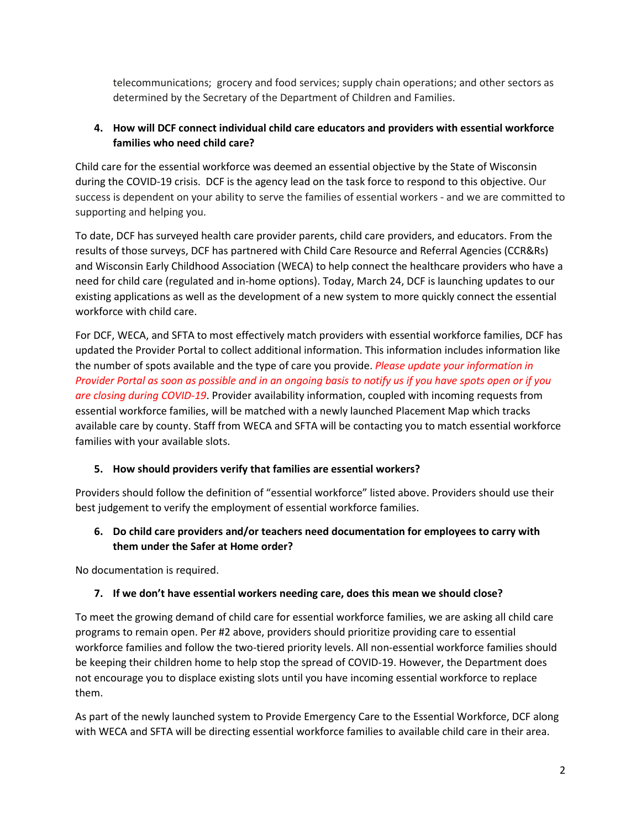telecommunications; grocery and food services; supply chain operations; and other sectors as determined by the Secretary of the Department of Children and Families.

#### **4. How will DCF connect individual child care educators and providers with essential workforce families who need child care?**

Child care for the essential workforce was deemed an essential objective by the State of Wisconsin during the COVID-19 crisis. DCF is the agency lead on the task force to respond to this objective. Our success is dependent on your ability to serve the families of essential workers - and we are committed to supporting and helping you.

To date, DCF has surveyed health care provider parents, child care providers, and educators. From the results of those surveys, DCF has partnered with Child Care Resource and Referral Agencies (CCR&Rs) and Wisconsin Early Childhood Association (WECA) to help connect the healthcare providers who have a need for child care (regulated and in-home options). Today, March 24, DCF is launching updates to our existing applications as well as the development of a new system to more quickly connect the essential workforce with child care.

For DCF, WECA, and SFTA to most effectively match providers with essential workforce families, DCF has updated the Provider Portal to collect additional information. This information includes information like the number of spots available and the type of care you provide. *Please update your information in Provider Portal as soon as possible and in an ongoing basis to notify us if you have spots open or if you are closing during COVID-19*. Provider availability information, coupled with incoming requests from essential workforce families, will be matched with a newly launched Placement Map which tracks available care by county. Staff from WECA and SFTA will be contacting you to match essential workforce families with your available slots.

#### **5. How should providers verify that families are essential workers?**

Providers should follow the definition of "essential workforce" listed above. Providers should use their best judgement to verify the employment of essential workforce families.

### **6. Do child care providers and/or teachers need documentation for employees to carry with them under the Safer at Home order?**

No documentation is required.

### **7. If we don't have essential workers needing care, does this mean we should close?**

To meet the growing demand of child care for essential workforce families, we are asking all child care programs to remain open. Per #2 above, providers should prioritize providing care to essential workforce families and follow the two-tiered priority levels. All non-essential workforce families should be keeping their children home to help stop the spread of COVID-19. However, the Department does not encourage you to displace existing slots until you have incoming essential workforce to replace them.

As part of the newly launched system to Provide Emergency Care to the Essential Workforce, DCF along with WECA and SFTA will be directing essential workforce families to available child care in their area.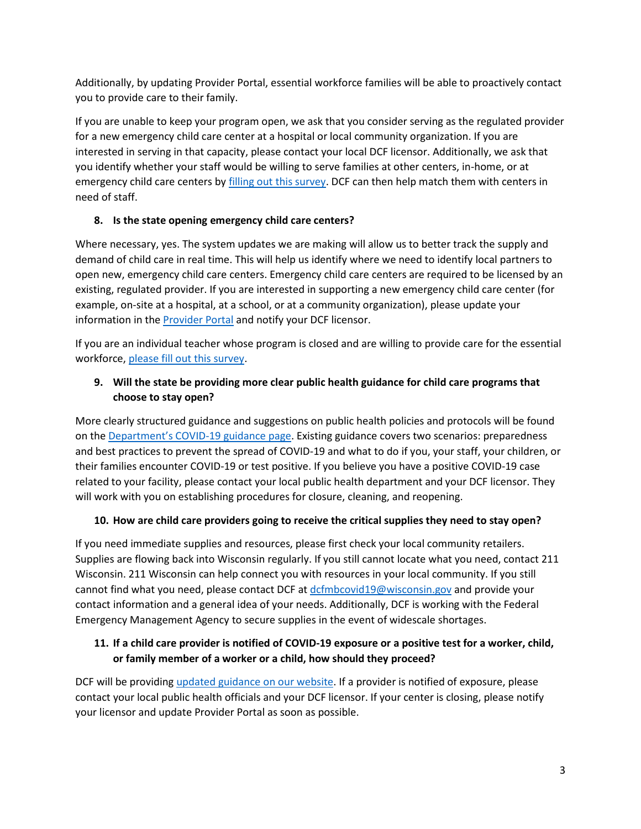Additionally, by updating Provider Portal, essential workforce families will be able to proactively contact you to provide care to their family.

If you are unable to keep your program open, we ask that you consider serving as the regulated provider for a new emergency child care center at a hospital or local community organization. If you are interested in serving in that capacity, please contact your local DCF licensor. Additionally, we ask that you identify whether your staff would be willing to serve families at other centers, in-home, or at emergency child care centers b[y filling out this survey.](https://docs.google.com/forms/d/e/1FAIpQLSdwOGS7NbhuzKxB-THE1wtS0VdpS6wcBU4e8_EAozdZVb4YcA/viewform) DCF can then help match them with centers in need of staff.

#### **8. Is the state opening emergency child care centers?**

Where necessary, yes. The system updates we are making will allow us to better track the supply and demand of child care in real time. This will help us identify where we need to identify local partners to open new, emergency child care centers. Emergency child care centers are required to be licensed by an existing, regulated provider. If you are interested in supporting a new emergency child care center (for example, on-site at a hospital, at a school, or at a community organization), please update your information in the [Provider Portal](https://mywichildcareproviders.wisconsin.gov/login?DcfReturnUrl=%2F) and notify your DCF licensor.

If you are an individual teacher whose program is closed and are willing to provide care for the essential workforce, [please fill out this survey.](https://docs.google.com/forms/d/e/1FAIpQLSdwOGS7NbhuzKxB-THE1wtS0VdpS6wcBU4e8_EAozdZVb4YcA/viewform)

### **9. Will the state be providing more clear public health guidance for child care programs that choose to stay open?**

More clearly structured guidance and suggestions on public health policies and protocols will be found on th[e Department's COVID-19 guidance page.](https://dcf.wisconsin.gov/covid-19/guidance) Existing guidance covers two scenarios: preparedness and best practices to prevent the spread of COVID-19 and what to do if you, your staff, your children, or their families encounter COVID-19 or test positive. If you believe you have a positive COVID-19 case related to your facility, please contact your local public health department and your DCF licensor. They will work with you on establishing procedures for closure, cleaning, and reopening.

### **10. How are child care providers going to receive the critical supplies they need to stay open?**

If you need immediate supplies and resources, please first check your local community retailers. Supplies are flowing back into Wisconsin regularly. If you still cannot locate what you need, contact 211 Wisconsin. 211 Wisconsin can help connect you with resources in your local community. If you still cannot find what you need, please contact DCF at [dcfmbcovid19@wisconsin.gov](mailto:dcfmbcovid19@wisconsin.gov) and provide your contact information and a general idea of your needs. Additionally, DCF is working with the Federal Emergency Management Agency to secure supplies in the event of widescale shortages.

### **11. If a child care provider is notified of COVID-19 exposure or a positive test for a worker, child, or family member of a worker or a child, how should they proceed?**

DCF will be providing [updated guidance](https://dcf.wisconsin.gov/covid-19/guidance) on our website. If a provider is notified of exposure, please contact your local public health officials and your DCF licensor. If your center is closing, please notify your licensor and update Provider Portal as soon as possible.